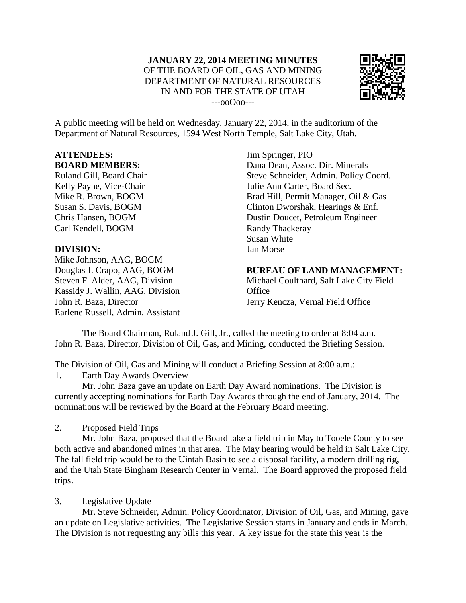

A public meeting will be held on Wednesday, January 22, 2014, in the auditorium of the Department of Natural Resources, 1594 West North Temple, Salt Lake City, Utah.

## **ATTENDEES: BOARD MEMBERS:**

Ruland Gill, Board Chair Kelly Payne, Vice-Chair Mike R. Brown, BOGM Susan S. Davis, BOGM Chris Hansen, BOGM Carl Kendell, BOGM

## **DIVISION:**

Mike Johnson, AAG, BOGM Douglas J. Crapo, AAG, BOGM Steven F. Alder, AAG, Division Kassidy J. Wallin, AAG, Division John R. Baza, Director Earlene Russell, Admin. Assistant

Jim Springer, PIO Dana Dean, Assoc. Dir. Minerals Steve Schneider, Admin. Policy Coord. Julie Ann Carter, Board Sec. Brad Hill, Permit Manager, Oil & Gas Clinton Dworshak, Hearings & Enf. Dustin Doucet, Petroleum Engineer Randy Thackeray Susan White Jan Morse

**BUREAU OF LAND MANAGEMENT:** Michael Coulthard, Salt Lake City Field **Office** 

Jerry Kencza, Vernal Field Office

The Board Chairman, Ruland J. Gill, Jr., called the meeting to order at 8:04 a.m. John R. Baza, Director, Division of Oil, Gas, and Mining, conducted the Briefing Session.

The Division of Oil, Gas and Mining will conduct a Briefing Session at 8:00 a.m.: 1. Earth Day Awards Overview

Mr. John Baza gave an update on Earth Day Award nominations. The Division is currently accepting nominations for Earth Day Awards through the end of January, 2014. The nominations will be reviewed by the Board at the February Board meeting.

2. Proposed Field Trips

Mr. John Baza, proposed that the Board take a field trip in May to Tooele County to see both active and abandoned mines in that area. The May hearing would be held in Salt Lake City. The fall field trip would be to the Uintah Basin to see a disposal facility, a modern drilling rig, and the Utah State Bingham Research Center in Vernal. The Board approved the proposed field trips.

## 3. Legislative Update

Mr. Steve Schneider, Admin. Policy Coordinator, Division of Oil, Gas, and Mining, gave an update on Legislative activities. The Legislative Session starts in January and ends in March. The Division is not requesting any bills this year. A key issue for the state this year is the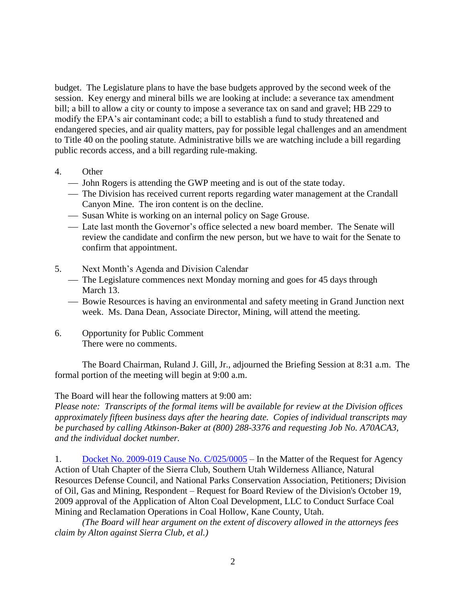budget. The Legislature plans to have the base budgets approved by the second week of the session. Key energy and mineral bills we are looking at include: a severance tax amendment bill; a bill to allow a city or county to impose a severance tax on sand and gravel; HB 229 to modify the EPA's air contaminant code; a bill to establish a fund to study threatened and endangered species, and air quality matters, pay for possible legal challenges and an amendment to Title 40 on the pooling statute. Administrative bills we are watching include a bill regarding public records access, and a bill regarding rule-making.

- 4. Other
	- John Rogers is attending the GWP meeting and is out of the state today.
	- The Division has received current reports regarding water management at the Crandall Canyon Mine. The iron content is on the decline.
	- Susan White is working on an internal policy on Sage Grouse.
	- Late last month the Governor's office selected a new board member. The Senate will review the candidate and confirm the new person, but we have to wait for the Senate to confirm that appointment.
- 5. Next Month's Agenda and Division Calendar
	- The Legislature commences next Monday morning and goes for 45 days through March 13.
	- Bowie Resources is having an environmental and safety meeting in Grand Junction next week. Ms. Dana Dean, Associate Director, Mining, will attend the meeting.
- 6. Opportunity for Public Comment There were no comments.

The Board Chairman, Ruland J. Gill, Jr., adjourned the Briefing Session at 8:31 a.m. The formal portion of the meeting will begin at 9:00 a.m.

The Board will hear the following matters at 9:00 am:

*Please note: Transcripts of the formal items will be available for review at the Division offices approximately fifteen business days after the hearing date. Copies of individual transcripts may be purchased by calling Atkinson-Baker at (800) 288-3376 and requesting Job No. A70ACA3, and the individual docket number.*

1. [Docket No. 2009-019 Cause No. C/025/0005](http://ogm.utah.gov/amr/boardtemp/redesign/2014/01_Jan/Dockets/2009-019_C0250005_SierraClub.html) – In the Matter of the Request for Agency Action of Utah Chapter of the Sierra Club, Southern Utah Wilderness Alliance, Natural Resources Defense Council, and National Parks Conservation Association, Petitioners; Division of Oil, Gas and Mining, Respondent – Request for Board Review of the Division's October 19, 2009 approval of the Application of Alton Coal Development, LLC to Conduct Surface Coal Mining and Reclamation Operations in Coal Hollow, Kane County, Utah.

*(The Board will hear argument on the extent of discovery allowed in the attorneys fees claim by Alton against Sierra Club, et al.)*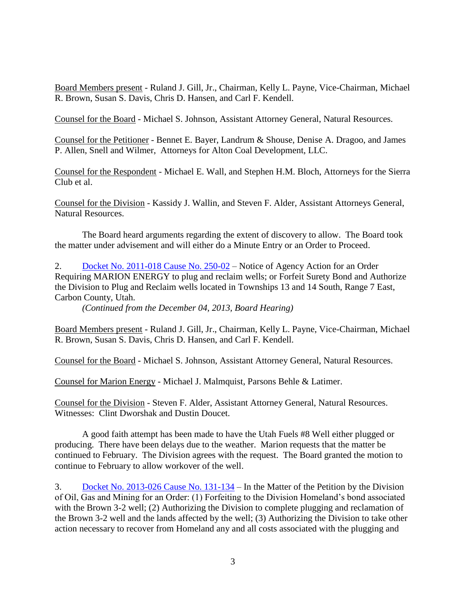Board Members present - Ruland J. Gill, Jr., Chairman, Kelly L. Payne, Vice-Chairman, Michael R. Brown, Susan S. Davis, Chris D. Hansen, and Carl F. Kendell.

Counsel for the Board - Michael S. Johnson, Assistant Attorney General, Natural Resources.

Counsel for the Petitioner - Bennet E. Bayer, Landrum & Shouse, Denise A. Dragoo, and James P. Allen, Snell and Wilmer, Attorneys for Alton Coal Development, LLC.

Counsel for the Respondent - Michael E. Wall, and Stephen H.M. Bloch, Attorneys for the Sierra Club et al.

Counsel for the Division - Kassidy J. Wallin, and Steven F. Alder, Assistant Attorneys General, Natural Resources.

The Board heard arguments regarding the extent of discovery to allow. The Board took the matter under advisement and will either do a Minute Entry or an Order to Proceed.

2. [Docket No. 2011-018 Cause No. 250-02](http://ogm.utah.gov/amr/boardtemp/redesign/2014/01_Jan/Dockets/2011-018_250-02_MarionEnergy.html) – Notice of Agency Action for an Order Requiring MARION ENERGY to plug and reclaim wells; or Forfeit Surety Bond and Authorize the Division to Plug and Reclaim wells located in Townships 13 and 14 South, Range 7 East, Carbon County, Utah.

*(Continued from the December 04, 2013, Board Hearing)*

Board Members present - Ruland J. Gill, Jr., Chairman, Kelly L. Payne, Vice-Chairman, Michael R. Brown, Susan S. Davis, Chris D. Hansen, and Carl F. Kendell.

Counsel for the Board - Michael S. Johnson, Assistant Attorney General, Natural Resources.

Counsel for Marion Energy - Michael J. Malmquist, Parsons Behle & Latimer.

Counsel for the Division - Steven F. Alder, Assistant Attorney General, Natural Resources. Witnesses: Clint Dworshak and Dustin Doucet.

A good faith attempt has been made to have the Utah Fuels #8 Well either plugged or producing. There have been delays due to the weather. Marion requests that the matter be continued to February. The Division agrees with the request. The Board granted the motion to continue to February to allow workover of the well.

3. [Docket No. 2013-026 Cause No. 131-134](http://ogm.utah.gov/amr/boardtemp/redesign/Dockets/2013/12-Dec/dec2013_2013-026_131-134_Homeland.html) – In the Matter of the Petition by the Division of Oil, Gas and Mining for an Order: (1) Forfeiting to the Division Homeland's bond associated with the Brown 3-2 well; (2) Authorizing the Division to complete plugging and reclamation of the Brown 3-2 well and the lands affected by the well; (3) Authorizing the Division to take other action necessary to recover from Homeland any and all costs associated with the plugging and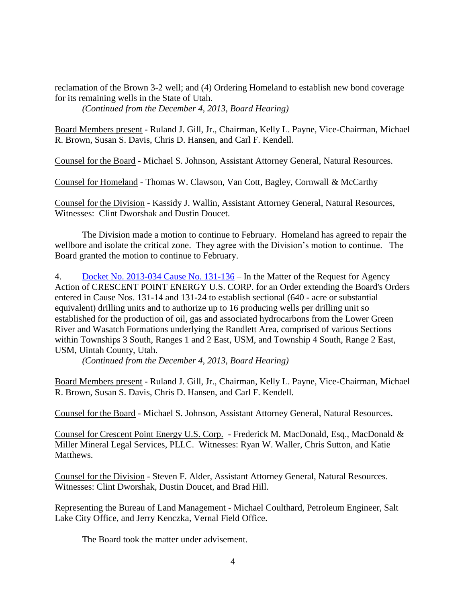reclamation of the Brown 3-2 well; and (4) Ordering Homeland to establish new bond coverage for its remaining wells in the State of Utah. *(Continued from the December 4, 2013, Board Hearing)*

Board Members present - Ruland J. Gill, Jr., Chairman, Kelly L. Payne, Vice-Chairman, Michael R. Brown, Susan S. Davis, Chris D. Hansen, and Carl F. Kendell.

Counsel for the Board - Michael S. Johnson, Assistant Attorney General, Natural Resources.

Counsel for Homeland - Thomas W. Clawson, Van Cott, Bagley, Cornwall & McCarthy

Counsel for the Division - Kassidy J. Wallin, Assistant Attorney General, Natural Resources, Witnesses: Clint Dworshak and Dustin Doucet.

The Division made a motion to continue to February. Homeland has agreed to repair the wellbore and isolate the critical zone. They agree with the Division's motion to continue. The Board granted the motion to continue to February.

4. [Docket No. 2013-034 Cause No. 131-136](http://ogm.utah.gov/amr/boardtemp/redesign/2014/01_Jan/Dockets/2013-034_131-136_Crescent.html) – In the Matter of the Request for Agency Action of CRESCENT POINT ENERGY U.S. CORP. for an Order extending the Board's Orders entered in Cause Nos. 131-14 and 131-24 to establish sectional (640 - acre or substantial equivalent) drilling units and to authorize up to 16 producing wells per drilling unit so established for the production of oil, gas and associated hydrocarbons from the Lower Green River and Wasatch Formations underlying the Randlett Area, comprised of various Sections within Townships 3 South, Ranges 1 and 2 East, USM, and Township 4 South, Range 2 East, USM, Uintah County, Utah.

*(Continued from the December 4, 2013, Board Hearing)*

Board Members present - Ruland J. Gill, Jr., Chairman, Kelly L. Payne, Vice-Chairman, Michael R. Brown, Susan S. Davis, Chris D. Hansen, and Carl F. Kendell.

Counsel for the Board - Michael S. Johnson, Assistant Attorney General, Natural Resources.

Counsel for Crescent Point Energy U.S. Corp. - Frederick M. MacDonald, Esq., MacDonald & Miller Mineral Legal Services, PLLC. Witnesses: Ryan W. Waller, Chris Sutton, and Katie Matthews.

Counsel for the Division - Steven F. Alder, Assistant Attorney General, Natural Resources. Witnesses: Clint Dworshak, Dustin Doucet, and Brad Hill.

Representing the Bureau of Land Management - Michael Coulthard, Petroleum Engineer, Salt Lake City Office, and Jerry Kenczka, Vernal Field Office.

The Board took the matter under advisement.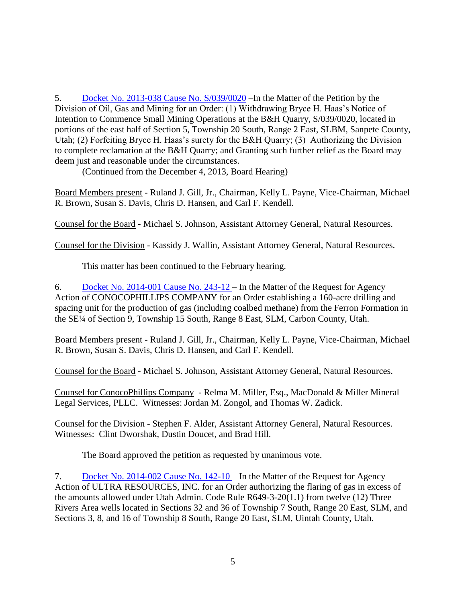5. [Docket No. 2013-038 Cause No. S/039/0020](http://ogm.utah.gov/amr/boardtemp/redesign/2014/01_Jan/Dockets/2013-038_S0390020_BryceHHaas.html) –In the Matter of the Petition by the Division of Oil, Gas and Mining for an Order: (1) Withdrawing Bryce H. Haas's Notice of Intention to Commence Small Mining Operations at the B&H Quarry, S/039/0020, located in portions of the east half of Section 5, Township 20 South, Range 2 East, SLBM, Sanpete County, Utah; (2) Forfeiting Bryce H. Haas's surety for the B&H Quarry; (3) Authorizing the Division to complete reclamation at the B&H Quarry; and Granting such further relief as the Board may deem just and reasonable under the circumstances.

(Continued from the December 4, 2013, Board Hearing)

Board Members present - Ruland J. Gill, Jr., Chairman, Kelly L. Payne, Vice-Chairman, Michael R. Brown, Susan S. Davis, Chris D. Hansen, and Carl F. Kendell.

Counsel for the Board - Michael S. Johnson, Assistant Attorney General, Natural Resources.

Counsel for the Division - Kassidy J. Wallin, Assistant Attorney General, Natural Resources.

This matter has been continued to the February hearing.

6. [Docket No. 2014-001 Cause No. 243-12 –](http://ogm.utah.gov/amr/boardtemp/redesign/2014/01_Jan/Dockets/2014-001_243-12_ConocoPhillips.html) In the Matter of the Request for Agency Action of CONOCOPHILLIPS COMPANY for an Order establishing a 160-acre drilling and spacing unit for the production of gas (including coalbed methane) from the Ferron Formation in the SE¼ of Section 9, Township 15 South, Range 8 East, SLM, Carbon County, Utah.

Board Members present - Ruland J. Gill, Jr., Chairman, Kelly L. Payne, Vice-Chairman, Michael R. Brown, Susan S. Davis, Chris D. Hansen, and Carl F. Kendell.

Counsel for the Board - Michael S. Johnson, Assistant Attorney General, Natural Resources.

Counsel for ConocoPhillips Company - Relma M. Miller, Esq., MacDonald & Miller Mineral Legal Services, PLLC. Witnesses: Jordan M. Zongol, and Thomas W. Zadick.

Counsel for the Division - Stephen F. Alder, Assistant Attorney General, Natural Resources. Witnesses: Clint Dworshak, Dustin Doucet, and Brad Hill.

The Board approved the petition as requested by unanimous vote.

7. [Docket No. 2014-002 Cause No. 142-10 –](http://ogm.utah.gov/amr/boardtemp/redesign/2014/01_Jan/Dockets/2014-002_142-10_Axia.html) In the Matter of the Request for Agency Action of ULTRA RESOURCES, INC. for an Order authorizing the flaring of gas in excess of the amounts allowed under Utah Admin. Code Rule R649-3-20(1.1) from twelve (12) Three Rivers Area wells located in Sections 32 and 36 of Township 7 South, Range 20 East, SLM, and Sections 3, 8, and 16 of Township 8 South, Range 20 East, SLM, Uintah County, Utah.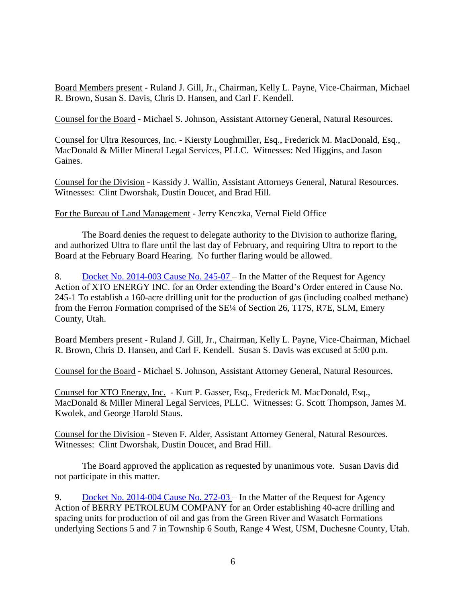Board Members present - Ruland J. Gill, Jr., Chairman, Kelly L. Payne, Vice-Chairman, Michael R. Brown, Susan S. Davis, Chris D. Hansen, and Carl F. Kendell.

Counsel for the Board - Michael S. Johnson, Assistant Attorney General, Natural Resources.

Counsel for Ultra Resources, Inc. - Kiersty Loughmiller, Esq., Frederick M. MacDonald, Esq., MacDonald & Miller Mineral Legal Services, PLLC. Witnesses: Ned Higgins, and Jason Gaines.

Counsel for the Division - Kassidy J. Wallin, Assistant Attorneys General, Natural Resources. Witnesses: Clint Dworshak, Dustin Doucet, and Brad Hill.

For the Bureau of Land Management - Jerry Kenczka, Vernal Field Office

The Board denies the request to delegate authority to the Division to authorize flaring, and authorized Ultra to flare until the last day of February, and requiring Ultra to report to the Board at the February Board Hearing. No further flaring would be allowed.

8. [Docket No. 2014-003 Cause No. 245-07 –](http://ogm.utah.gov/amr/boardtemp/redesign/2014/01_Jan/Dockets/2014-003_245-07_XTO.html) In the Matter of the Request for Agency Action of XTO ENERGY INC. for an Order extending the Board's Order entered in Cause No. 245-1 To establish a 160-acre drilling unit for the production of gas (including coalbed methane) from the Ferron Formation comprised of the SE¼ of Section 26, T17S, R7E, SLM, Emery County, Utah.

Board Members present - Ruland J. Gill, Jr., Chairman, Kelly L. Payne, Vice-Chairman, Michael R. Brown, Chris D. Hansen, and Carl F. Kendell. Susan S. Davis was excused at 5:00 p.m.

Counsel for the Board - Michael S. Johnson, Assistant Attorney General, Natural Resources.

Counsel for XTO Energy, Inc. - Kurt P. Gasser, Esq., Frederick M. MacDonald, Esq., MacDonald & Miller Mineral Legal Services, PLLC. Witnesses: G. Scott Thompson, James M. Kwolek, and George Harold Staus.

Counsel for the Division - Steven F. Alder, Assistant Attorney General, Natural Resources. Witnesses: Clint Dworshak, Dustin Doucet, and Brad Hill.

The Board approved the application as requested by unanimous vote. Susan Davis did not participate in this matter.

9. [Docket No. 2014-004 Cause No. 272-03 –](http://ogm.utah.gov/amr/boardtemp/redesign/2014/01_Jan/Dockets/2014-004_272-03_Berry.html) In the Matter of the Request for Agency Action of BERRY PETROLEUM COMPANY for an Order establishing 40-acre drilling and spacing units for production of oil and gas from the Green River and Wasatch Formations underlying Sections 5 and 7 in Township 6 South, Range 4 West, USM, Duchesne County, Utah.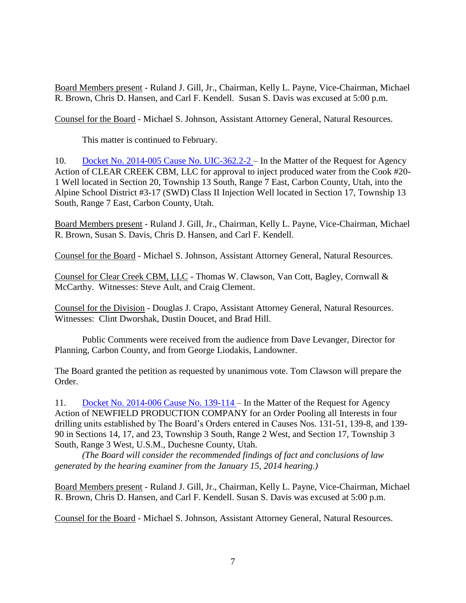Board Members present - Ruland J. Gill, Jr., Chairman, Kelly L. Payne, Vice-Chairman, Michael R. Brown, Chris D. Hansen, and Carl F. Kendell. Susan S. Davis was excused at 5:00 p.m.

Counsel for the Board - Michael S. Johnson, Assistant Attorney General, Natural Resources.

This matter is continued to February.

10. [Docket No. 2014-005 Cause No. UIC-362.2-2 –](http://ogm.utah.gov/amr/boardtemp/redesign/2014/01_Jan/Dockets/2014-005_UIC-362.2-2_ClearCreek.html) In the Matter of the Request for Agency Action of CLEAR CREEK CBM, LLC for approval to inject produced water from the Cook #20- 1 Well located in Section 20, Township 13 South, Range 7 East, Carbon County, Utah, into the Alpine School District #3-17 (SWD) Class II Injection Well located in Section 17, Township 13 South, Range 7 East, Carbon County, Utah.

Board Members present - Ruland J. Gill, Jr., Chairman, Kelly L. Payne, Vice-Chairman, Michael R. Brown, Susan S. Davis, Chris D. Hansen, and Carl F. Kendell.

Counsel for the Board - Michael S. Johnson, Assistant Attorney General, Natural Resources.

Counsel for Clear Creek CBM, LLC - Thomas W. Clawson, Van Cott, Bagley, Cornwall & McCarthy. Witnesses: Steve Ault, and Craig Clement.

Counsel for the Division - Douglas J. Crapo, Assistant Attorney General, Natural Resources. Witnesses: Clint Dworshak, Dustin Doucet, and Brad Hill.

Public Comments were received from the audience from Dave Levanger, Director for Planning, Carbon County, and from George Liodakis, Landowner.

The Board granted the petition as requested by unanimous vote. Tom Clawson will prepare the Order.

11. [Docket No. 2014-006 Cause No. 139-114 –](http://ogm.utah.gov/amr/boardtemp/redesign/2014/01_Jan/Dockets/2014-006_139-114_Newfield.html) In the Matter of the Request for Agency Action of NEWFIELD PRODUCTION COMPANY for an Order Pooling all Interests in four drilling units established by The Board's Orders entered in Causes Nos. 131-51, 139-8, and 139- 90 in Sections 14, 17, and 23, Township 3 South, Range 2 West, and Section 17, Township 3 South, Range 3 West, U.S.M., Duchesne County, Utah.

*(The Board will consider the recommended findings of fact and conclusions of law generated by the hearing examiner from the January 15, 2014 hearing.)*

Board Members present - Ruland J. Gill, Jr., Chairman, Kelly L. Payne, Vice-Chairman, Michael R. Brown, Chris D. Hansen, and Carl F. Kendell. Susan S. Davis was excused at 5:00 p.m.

Counsel for the Board - Michael S. Johnson, Assistant Attorney General, Natural Resources.